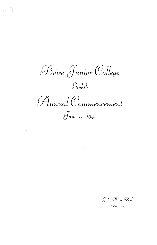Boise Junior College  $\mathcal{E}_{\mathit{light}}$ Finnual Commencement June 11, 1941

Julia Davis Park

10:00 a. m.

 $\sim$   $-$ 

 $\frac{1}{2}$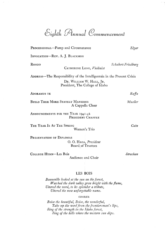Eighth Annual Commencement

| PROCESSIONAL-Pomp and Circumstance                                                                                                    | Elgar              |
|---------------------------------------------------------------------------------------------------------------------------------------|--------------------|
| INVOCATION--REV. A. J. BLACKMON                                                                                                       |                    |
| RONDO<br>CATHERINE LONG, Violinist                                                                                                    | Schubert-Friedburg |
| ADDRESS-The Responsibility of the Intelligentsia in the Present Crisis<br>DR. WILLIAM W. HALL, JR.<br>President, The College of Idaho |                    |
| ADORAMUS TE                                                                                                                           | Ruffo              |
| <b>BUILD THEE MORE STATELY MANSIONS</b><br>A Cappella Choir                                                                           | Mueller            |
| ANNOUNCEMENTS FOR THE YEAR 1941-42<br>PRESIDENT CHAFFEE                                                                               |                    |
| THE YEAR IS AT THE SPRING<br>Women's Trio                                                                                             | Cain               |
| PRESENTATION OF DIPLOMAS<br>O. O. HAGA, <i>President</i><br><b>Board of Trustees</b>                                                  |                    |
| COLLEGE HYMN—Les Bois<br>Audience and Choir                                                                                           | Strachan           |
|                                                                                                                                       |                    |

## LES BOIS

*Bonneville looked at the sun on the forest, Watched the dark valley grow bright with the flame, Uttered the word, to its splendor a tribute, Uttered the now unforgettable name.* 

#### CHORUS

*Boise the beautiful, Boise, the wonderful, Take up the word from the frontiersman's lips, Sing of the strength in the Idaho forest,*   $Sing$  of the hills where the western sun dips.